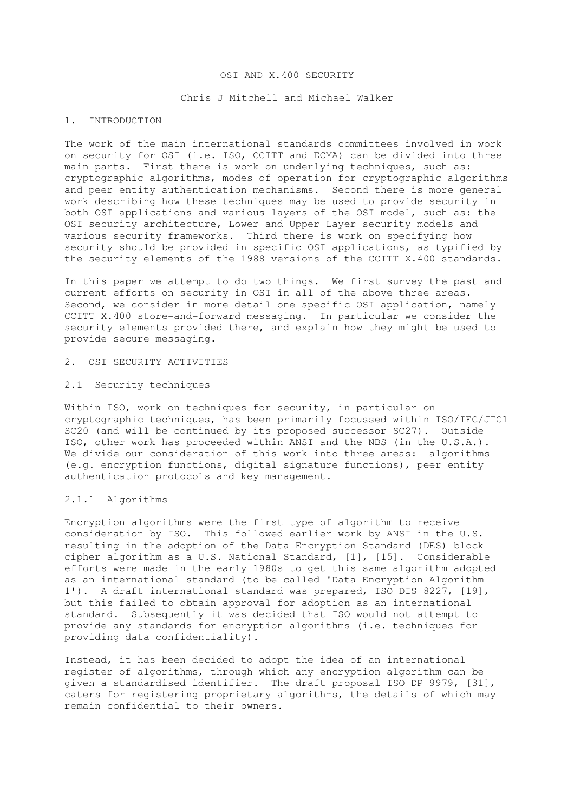#### OSI AND X.400 SECURITY

### Chris J Mitchell and Michael Walker

## 1. INTRODUCTION

The work of the main international standards committees involved in work on security for OSI (i.e. ISO, CCITT and ECMA) can be divided into three main parts. First there is work on underlying techniques, such as: cryptographic algorithms, modes of operation for cryptographic algorithms and peer entity authentication mechanisms. Second there is more general work describing how these techniques may be used to provide security in both OSI applications and various layers of the OSI model, such as: the OSI security architecture, Lower and Upper Layer security models and various security frameworks. Third there is work on specifying how security should be provided in specific OSI applications, as typified by the security elements of the 1988 versions of the CCITT X.400 standards.

In this paper we attempt to do two things. We first survey the past and current efforts on security in OSI in all of the above three areas. Second, we consider in more detail one specific OSI application, namely CCITT X.400 store-and-forward messaging. In particular we consider the security elements provided there, and explain how they might be used to provide secure messaging.

### 2. OSI SECURITY ACTIVITIES

## 2.1 Security techniques

Within ISO, work on techniques for security, in particular on cryptographic techniques, has been primarily focussed within ISO/IEC/JTC1 SC20 (and will be continued by its proposed successor SC27). Outside ISO, other work has proceeded within ANSI and the NBS (in the U.S.A.). We divide our consideration of this work into three areas: algorithms (e.g. encryption functions, digital signature functions), peer entity authentication protocols and key management.

#### 2.1.1 Algorithms

Encryption algorithms were the first type of algorithm to receive consideration by ISO. This followed earlier work by ANSI in the U.S. resulting in the adoption of the Data Encryption Standard (DES) block cipher algorithm as a U.S. National Standard, [1], [15]. Considerable efforts were made in the early 1980s to get this same algorithm adopted as an international standard (to be called 'Data Encryption Algorithm 1'). A draft international standard was prepared, ISO DIS 8227, [19], but this failed to obtain approval for adoption as an international standard. Subsequently it was decided that ISO would not attempt to provide any standards for encryption algorithms (i.e. techniques for providing data confidentiality).

Instead, it has been decided to adopt the idea of an international register of algorithms, through which any encryption algorithm can be given a standardised identifier. The draft proposal ISO DP 9979, [31], caters for registering proprietary algorithms, the details of which may remain confidential to their owners.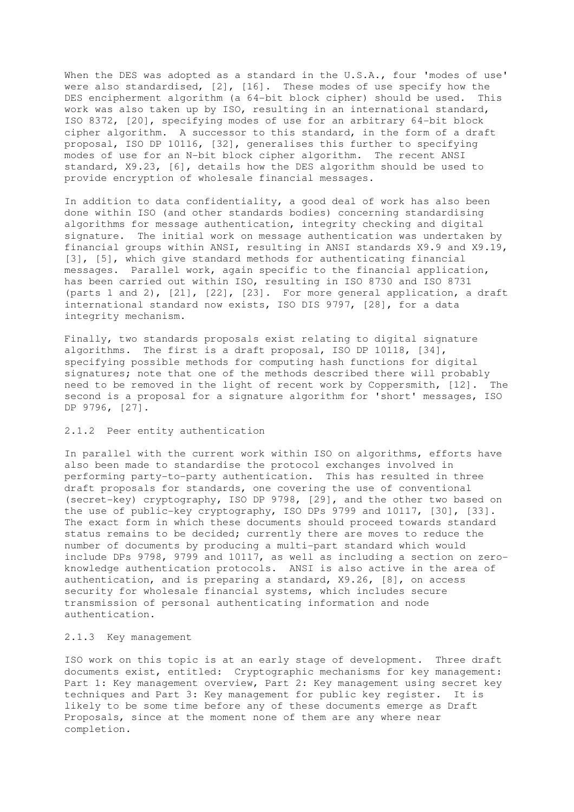When the DES was adopted as a standard in the U.S.A., four 'modes of use' were also standardised, [2], [16]. These modes of use specify how the DES encipherment algorithm (a 64-bit block cipher) should be used. This work was also taken up by ISO, resulting in an international standard, ISO 8372, [20], specifying modes of use for an arbitrary 64-bit block cipher algorithm. A successor to this standard, in the form of a draft proposal, ISO DP 10116, [32], generalises this further to specifying modes of use for an N-bit block cipher algorithm. The recent ANSI standard, X9.23, [6], details how the DES algorithm should be used to provide encryption of wholesale financial messages.

In addition to data confidentiality, a good deal of work has also been done within ISO (and other standards bodies) concerning standardising algorithms for message authentication, integrity checking and digital signature. The initial work on message authentication was undertaken by financial groups within ANSI, resulting in ANSI standards X9.9 and X9.19, [3], [5], which give standard methods for authenticating financial messages. Parallel work, again specific to the financial application, has been carried out within ISO, resulting in ISO 8730 and ISO 8731 (parts 1 and 2), [21], [22], [23]. For more general application, a draft international standard now exists, ISO DIS 9797, [28], for a data integrity mechanism.

Finally, two standards proposals exist relating to digital signature algorithms. The first is a draft proposal, ISO DP 10118, [34], specifying possible methods for computing hash functions for digital signatures; note that one of the methods described there will probably need to be removed in the light of recent work by Coppersmith, [12]. The second is a proposal for a signature algorithm for 'short' messages, ISO DP 9796, [27].

## 2.1.2 Peer entity authentication

In parallel with the current work within ISO on algorithms, efforts have also been made to standardise the protocol exchanges involved in performing party-to-party authentication. This has resulted in three draft proposals for standards, one covering the use of conventional (secret-key) cryptography, ISO DP 9798, [29], and the other two based on the use of public-key cryptography, ISO DPs 9799 and 10117, [30], [33]. The exact form in which these documents should proceed towards standard status remains to be decided; currently there are moves to reduce the number of documents by producing a multi-part standard which would include DPs 9798, 9799 and 10117, as well as including a section on zeroknowledge authentication protocols. ANSI is also active in the area of authentication, and is preparing a standard, X9.26, [8], on access security for wholesale financial systems, which includes secure transmission of personal authenticating information and node authentication.

### 2.1.3 Key management

ISO work on this topic is at an early stage of development. Three draft documents exist, entitled: Cryptographic mechanisms for key management: Part 1: Key management overview, Part 2: Key management using secret key techniques and Part 3: Key management for public key register. It is likely to be some time before any of these documents emerge as Draft Proposals, since at the moment none of them are any where near completion.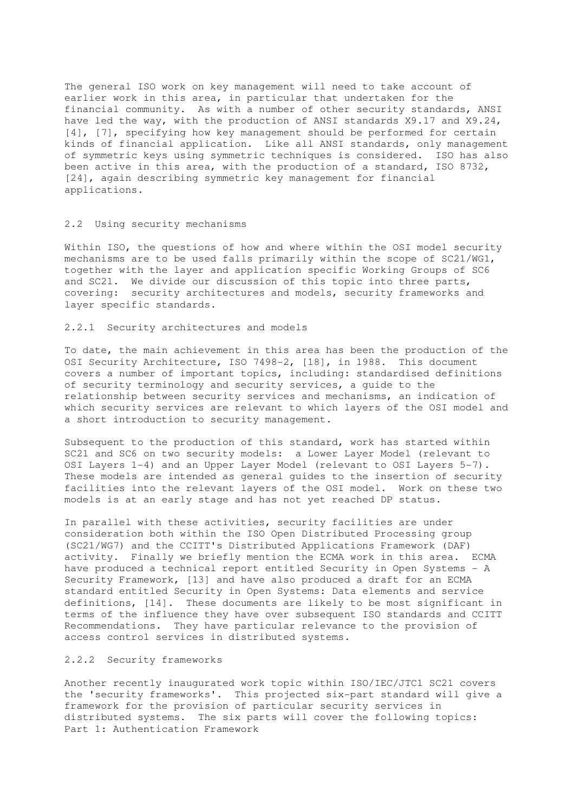The general ISO work on key management will need to take account of earlier work in this area, in particular that undertaken for the financial community. As with a number of other security standards, ANSI have led the way, with the production of ANSI standards X9.17 and X9.24, [4], [7], specifying how key management should be performed for certain kinds of financial application. Like all ANSI standards, only management of symmetric keys using symmetric techniques is considered. ISO has also been active in this area, with the production of a standard, ISO 8732, [24], again describing symmetric key management for financial applications.

### 2.2 Using security mechanisms

Within ISO, the questions of how and where within the OSI model security mechanisms are to be used falls primarily within the scope of SC21/WG1, together with the layer and application specific Working Groups of SC6 and SC21. We divide our discussion of this topic into three parts, covering: security architectures and models, security frameworks and layer specific standards.

2.2.1 Security architectures and models

To date, the main achievement in this area has been the production of the OSI Security Architecture, ISO 7498-2, [18], in 1988. This document covers a number of important topics, including: standardised definitions of security terminology and security services, a guide to the relationship between security services and mechanisms, an indication of which security services are relevant to which layers of the OSI model and a short introduction to security management.

Subsequent to the production of this standard, work has started within SC21 and SC6 on two security models: a Lower Layer Model (relevant to OSI Layers 1-4) and an Upper Layer Model (relevant to OSI Layers 5-7). These models are intended as general guides to the insertion of security facilities into the relevant layers of the OSI model. Work on these two models is at an early stage and has not yet reached DP status.

In parallel with these activities, security facilities are under consideration both within the ISO Open Distributed Processing group (SC21/WG7) and the CCITT's Distributed Applications Framework (DAF) activity. Finally we briefly mention the ECMA work in this area. ECMA have produced a technical report entitled Security in Open Systems - A Security Framework, [13] and have also produced a draft for an ECMA standard entitled Security in Open Systems: Data elements and service definitions, [14]. These documents are likely to be most significant in terms of the influence they have over subsequent ISO standards and CCITT Recommendations. They have particular relevance to the provision of access control services in distributed systems.

### 2.2.2 Security frameworks

Another recently inaugurated work topic within ISO/IEC/JTC1 SC21 covers the 'security frameworks'. This projected six-part standard will give a framework for the provision of particular security services in distributed systems. The six parts will cover the following topics: Part 1: Authentication Framework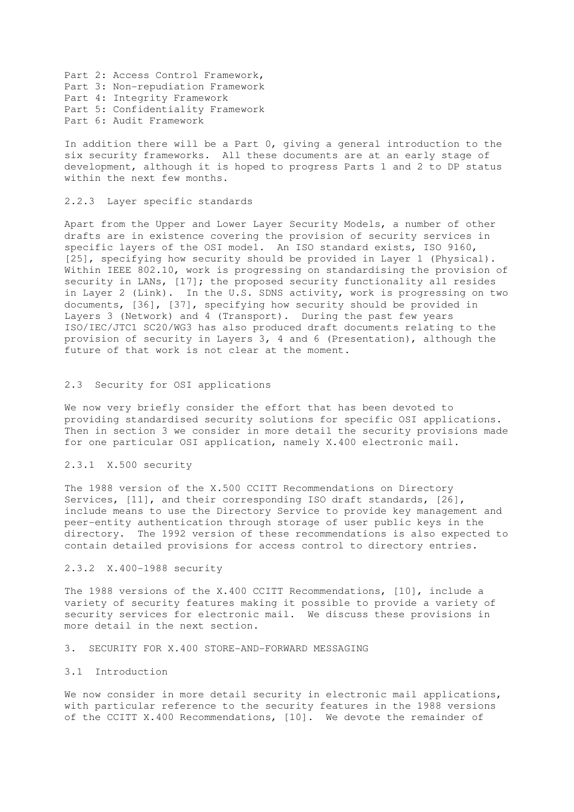Part 2: Access Control Framework, Part 3: Non-repudiation Framework Part 4: Integrity Framework Part 5: Confidentiality Framework Part 6: Audit Framework

In addition there will be a Part 0, giving a general introduction to the six security frameworks. All these documents are at an early stage of development, although it is hoped to progress Parts 1 and 2 to DP status within the next few months.

# 2.2.3 Layer specific standards

Apart from the Upper and Lower Layer Security Models, a number of other drafts are in existence covering the provision of security services in specific layers of the OSI model. An ISO standard exists, ISO 9160, [25], specifying how security should be provided in Layer 1 (Physical). Within IEEE 802.10, work is progressing on standardising the provision of security in LANs, [17]; the proposed security functionality all resides in Layer 2 (Link). In the U.S. SDNS activity, work is progressing on two documents, [36], [37], specifying how security should be provided in Layers 3 (Network) and 4 (Transport). During the past few years ISO/IEC/JTC1 SC20/WG3 has also produced draft documents relating to the provision of security in Layers 3, 4 and 6 (Presentation), although the future of that work is not clear at the moment.

# 2.3 Security for OSI applications

We now very briefly consider the effort that has been devoted to providing standardised security solutions for specific OSI applications. Then in section 3 we consider in more detail the security provisions made for one particular OSI application, namely X.400 electronic mail.

#### 2.3.1 X.500 security

The 1988 version of the X.500 CCITT Recommendations on Directory Services, [11], and their corresponding ISO draft standards, [26], include means to use the Directory Service to provide key management and peer-entity authentication through storage of user public keys in the directory. The 1992 version of these recommendations is also expected to contain detailed provisions for access control to directory entries.

### 2.3.2 X.400-1988 security

The 1988 versions of the X.400 CCITT Recommendations, [10], include a variety of security features making it possible to provide a variety of security services for electronic mail. We discuss these provisions in more detail in the next section.

# 3. SECURITY FOR X.400 STORE-AND-FORWARD MESSAGING

# 3.1 Introduction

We now consider in more detail security in electronic mail applications, with particular reference to the security features in the 1988 versions of the CCITT X.400 Recommendations, [10]. We devote the remainder of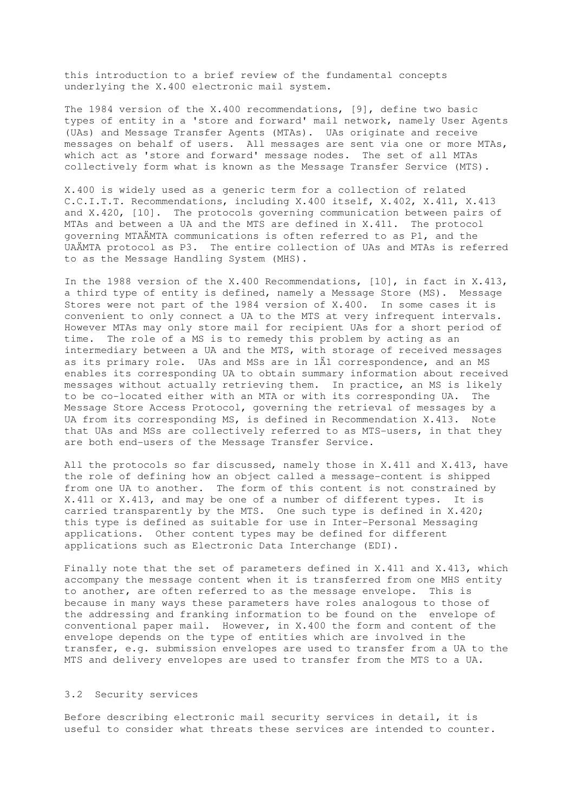this introduction to a brief review of the fundamental concepts underlying the X.400 electronic mail system.

The 1984 version of the X.400 recommendations, [9], define two basic types of entity in a 'store and forward' mail network, namely User Agents (UAs) and Message Transfer Agents (MTAs). UAs originate and receive messages on behalf of users. All messages are sent via one or more MTAs, which act as 'store and forward' message nodes. The set of all MTAs collectively form what is known as the Message Transfer Service (MTS).

X.400 is widely used as a generic term for a collection of related C.C.I.T.T. Recommendations, including X.400 itself, X.402, X.411, X.413 and X.420, [10]. The protocols governing communication between pairs of MTAs and between a UA and the MTS are defined in X.411. The protocol governing MTAÄMTA communications is often referred to as P1, and the UAÄMTA protocol as P3. The entire collection of UAs and MTAs is referred to as the Message Handling System (MHS).

In the 1988 version of the X.400 Recommendations, [10], in fact in X.413, a third type of entity is defined, namely a Message Store (MS). Message Stores were not part of the 1984 version of X.400. In some cases it is convenient to only connect a UA to the MTS at very infrequent intervals. However MTAs may only store mail for recipient UAs for a short period of time. The role of a MS is to remedy this problem by acting as an intermediary between a UA and the MTS, with storage of received messages as its primary role. UAs and MSs are in 1Ä1 correspondence, and an MS enables its corresponding UA to obtain summary information about received messages without actually retrieving them. In practice, an MS is likely to be co-located either with an MTA or with its corresponding UA. The Message Store Access Protocol, governing the retrieval of messages by a UA from its corresponding MS, is defined in Recommendation X.413. Note that UAs and MSs are collectively referred to as MTS-users, in that they are both end-users of the Message Transfer Service.

All the protocols so far discussed, namely those in X.411 and X.413, have the role of defining how an object called a message-content is shipped from one UA to another. The form of this content is not constrained by X.411 or X.413, and may be one of a number of different types. It is carried transparently by the MTS. One such type is defined in X.420; this type is defined as suitable for use in Inter-Personal Messaging applications. Other content types may be defined for different applications such as Electronic Data Interchange (EDI).

Finally note that the set of parameters defined in X.411 and X.413, which accompany the message content when it is transferred from one MHS entity to another, are often referred to as the message envelope. This is because in many ways these parameters have roles analogous to those of the addressing and franking information to be found on the envelope of conventional paper mail. However, in X.400 the form and content of the envelope depends on the type of entities which are involved in the transfer, e.g. submission envelopes are used to transfer from a UA to the MTS and delivery envelopes are used to transfer from the MTS to a UA.

### 3.2 Security services

Before describing electronic mail security services in detail, it is useful to consider what threats these services are intended to counter.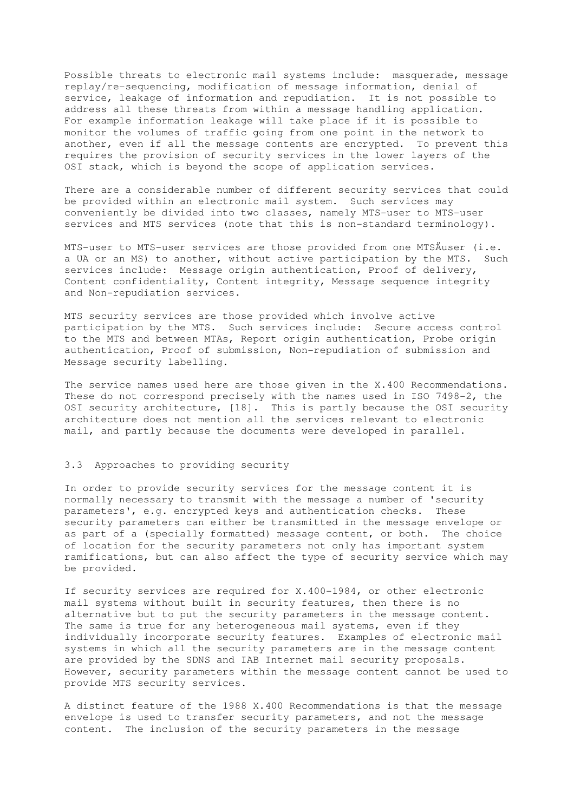Possible threats to electronic mail systems include: masquerade, message replay/re-sequencing, modification of message information, denial of service, leakage of information and repudiation. It is not possible to address all these threats from within a message handling application. For example information leakage will take place if it is possible to monitor the volumes of traffic going from one point in the network to another, even if all the message contents are encrypted. To prevent this requires the provision of security services in the lower layers of the OSI stack, which is beyond the scope of application services.

There are a considerable number of different security services that could be provided within an electronic mail system. Such services may conveniently be divided into two classes, namely MTS-user to MTS-user services and MTS services (note that this is non-standard terminology).

MTS-user to MTS-user services are those provided from one MTSÄuser (i.e. a UA or an MS) to another, without active participation by the MTS. Such services include: Message origin authentication, Proof of delivery, Content confidentiality, Content integrity, Message sequence integrity and Non-repudiation services.

MTS security services are those provided which involve active participation by the MTS. Such services include: Secure access control to the MTS and between MTAs, Report origin authentication, Probe origin authentication, Proof of submission, Non-repudiation of submission and Message security labelling.

The service names used here are those given in the X.400 Recommendations. These do not correspond precisely with the names used in ISO 7498-2, the OSI security architecture, [18]. This is partly because the OSI security architecture does not mention all the services relevant to electronic mail, and partly because the documents were developed in parallel.

#### 3.3 Approaches to providing security

In order to provide security services for the message content it is normally necessary to transmit with the message a number of 'security parameters', e.g. encrypted keys and authentication checks. These security parameters can either be transmitted in the message envelope or as part of a (specially formatted) message content, or both. The choice of location for the security parameters not only has important system ramifications, but can also affect the type of security service which may be provided.

If security services are required for X.400-1984, or other electronic mail systems without built in security features, then there is no alternative but to put the security parameters in the message content. The same is true for any heterogeneous mail systems, even if they individually incorporate security features. Examples of electronic mail systems in which all the security parameters are in the message content are provided by the SDNS and IAB Internet mail security proposals. However, security parameters within the message content cannot be used to provide MTS security services.

A distinct feature of the 1988 X.400 Recommendations is that the message envelope is used to transfer security parameters, and not the message content. The inclusion of the security parameters in the message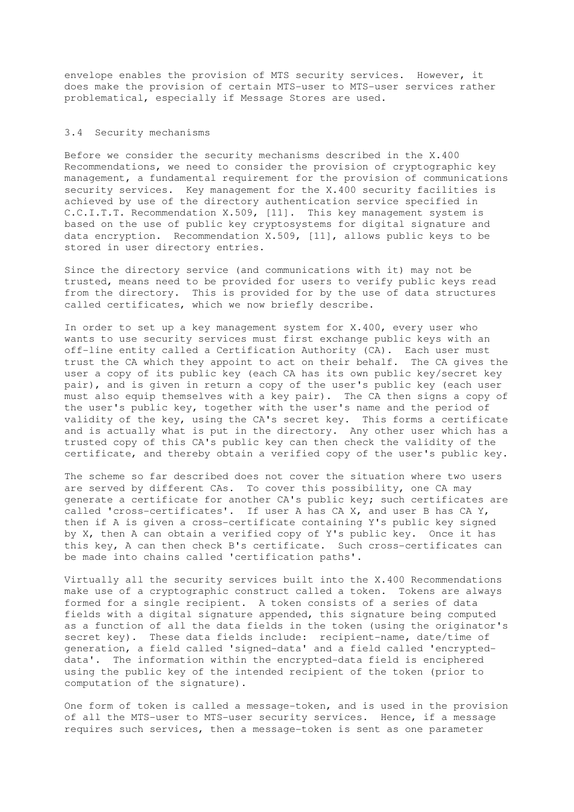envelope enables the provision of MTS security services. However, it does make the provision of certain MTS-user to MTS-user services rather problematical, especially if Message Stores are used.

### 3.4 Security mechanisms

Before we consider the security mechanisms described in the X.400 Recommendations, we need to consider the provision of cryptographic key management, a fundamental requirement for the provision of communications security services. Key management for the X.400 security facilities is achieved by use of the directory authentication service specified in C.C.I.T.T. Recommendation X.509, [11]. This key management system is based on the use of public key cryptosystems for digital signature and data encryption. Recommendation X.509, [11], allows public keys to be stored in user directory entries.

Since the directory service (and communications with it) may not be trusted, means need to be provided for users to verify public keys read from the directory. This is provided for by the use of data structures called certificates, which we now briefly describe.

In order to set up a key management system for X.400, every user who wants to use security services must first exchange public keys with an off-line entity called a Certification Authority (CA). Each user must trust the CA which they appoint to act on their behalf. The CA gives the user a copy of its public key (each CA has its own public key/secret key pair), and is given in return a copy of the user's public key (each user must also equip themselves with a key pair). The CA then signs a copy of the user's public key, together with the user's name and the period of validity of the key, using the CA's secret key. This forms a certificate and is actually what is put in the directory. Any other user which has a trusted copy of this CA's public key can then check the validity of the certificate, and thereby obtain a verified copy of the user's public key.

The scheme so far described does not cover the situation where two users are served by different CAs. To cover this possibility, one CA may generate a certificate for another CA's public key; such certificates are called 'cross-certificates'. If user A has CA X, and user B has CA Y, then if A is given a cross-certificate containing Y's public key signed by X, then A can obtain a verified copy of Y's public key. Once it has this key, A can then check B's certificate. Such cross-certificates can be made into chains called 'certification paths'.

Virtually all the security services built into the X.400 Recommendations make use of a cryptographic construct called a token. Tokens are always formed for a single recipient. A token consists of a series of data fields with a digital signature appended, this signature being computed as a function of all the data fields in the token (using the originator's secret key). These data fields include: recipient-name, date/time of generation, a field called 'signed-data' and a field called 'encrypteddata'. The information within the encrypted-data field is enciphered using the public key of the intended recipient of the token (prior to computation of the signature).

One form of token is called a message-token, and is used in the provision of all the MTS-user to MTS-user security services. Hence, if a message requires such services, then a message-token is sent as one parameter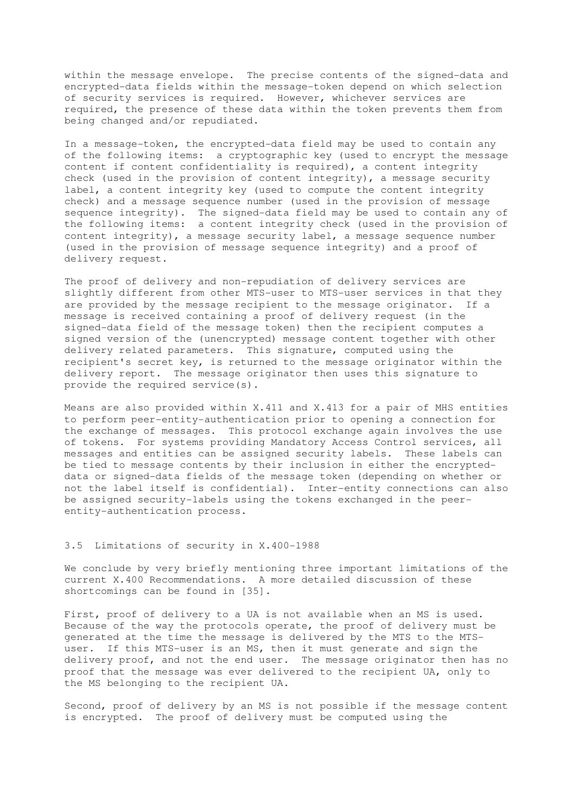within the message envelope. The precise contents of the signed-data and encrypted-data fields within the message-token depend on which selection of security services is required. However, whichever services are required, the presence of these data within the token prevents them from being changed and/or repudiated.

In a message-token, the encrypted-data field may be used to contain any of the following items: a cryptographic key (used to encrypt the message content if content confidentiality is required), a content integrity check (used in the provision of content integrity), a message security label, a content integrity key (used to compute the content integrity check) and a message sequence number (used in the provision of message sequence integrity). The signed-data field may be used to contain any of the following items: a content integrity check (used in the provision of content integrity), a message security label, a message sequence number (used in the provision of message sequence integrity) and a proof of delivery request.

The proof of delivery and non-repudiation of delivery services are slightly different from other MTS-user to MTS-user services in that they are provided by the message recipient to the message originator. If a message is received containing a proof of delivery request (in the signed-data field of the message token) then the recipient computes a signed version of the (unencrypted) message content together with other delivery related parameters. This signature, computed using the recipient's secret key, is returned to the message originator within the delivery report. The message originator then uses this signature to provide the required service(s).

Means are also provided within X.411 and X.413 for a pair of MHS entities to perform peer-entity-authentication prior to opening a connection for the exchange of messages. This protocol exchange again involves the use of tokens. For systems providing Mandatory Access Control services, all messages and entities can be assigned security labels. These labels can be tied to message contents by their inclusion in either the encrypteddata or signed-data fields of the message token (depending on whether or not the label itself is confidential). Inter-entity connections can also be assigned security-labels using the tokens exchanged in the peerentity-authentication process.

# 3.5 Limitations of security in X.400-1988

We conclude by very briefly mentioning three important limitations of the current X.400 Recommendations. A more detailed discussion of these shortcomings can be found in [35].

First, proof of delivery to a UA is not available when an MS is used. Because of the way the protocols operate, the proof of delivery must be generated at the time the message is delivered by the MTS to the MTSuser. If this MTS-user is an MS, then it must generate and sign the delivery proof, and not the end user. The message originator then has no proof that the message was ever delivered to the recipient UA, only to the MS belonging to the recipient UA.

Second, proof of delivery by an MS is not possible if the message content is encrypted. The proof of delivery must be computed using the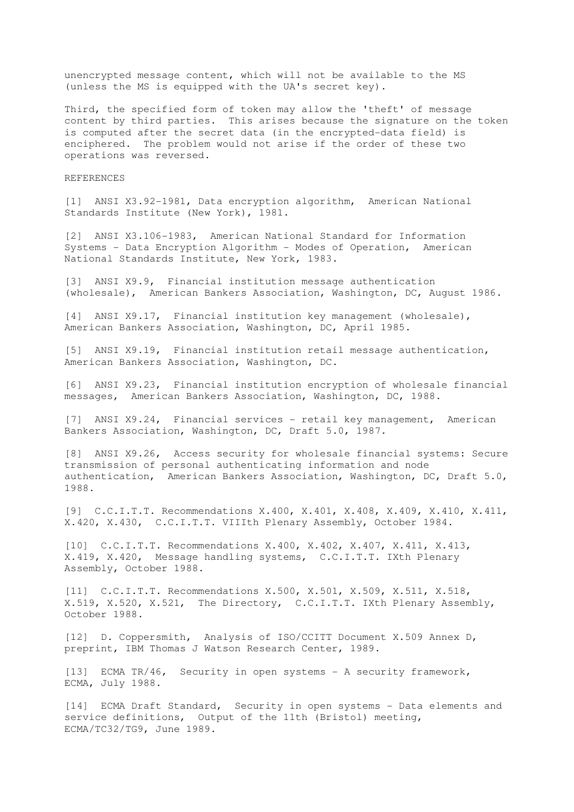unencrypted message content, which will not be available to the MS (unless the MS is equipped with the UA's secret key).

Third, the specified form of token may allow the 'theft' of message content by third parties. This arises because the signature on the token is computed after the secret data (in the encrypted-data field) is enciphered. The problem would not arise if the order of these two operations was reversed.

#### REFERENCES

[1] ANSI X3.92-1981, Data encryption algorithm, American National Standards Institute (New York), 1981.

[2] ANSI X3.106-1983, American National Standard for Information Systems - Data Encryption Algorithm - Modes of Operation, American National Standards Institute, New York, 1983.

[3] ANSI X9.9, Financial institution message authentication (wholesale), American Bankers Association, Washington, DC, August 1986.

[4] ANSI X9.17, Financial institution key management (wholesale), American Bankers Association, Washington, DC, April 1985.

[5] ANSI X9.19, Financial institution retail message authentication, American Bankers Association, Washington, DC.

[6] ANSI X9.23, Financial institution encryption of wholesale financial messages, American Bankers Association, Washington, DC, 1988.

[7] ANSI X9.24, Financial services - retail key management, American Bankers Association, Washington, DC, Draft 5.0, 1987.

[8] ANSI X9.26, Access security for wholesale financial systems: Secure transmission of personal authenticating information and node authentication, American Bankers Association, Washington, DC, Draft 5.0, 1988.

[9] C.C.I.T.T. Recommendations X.400, X.401, X.408, X.409, X.410, X.411, X.420, X.430, C.C.I.T.T. VIIIth Plenary Assembly, October 1984.

[10] C.C.I.T.T. Recommendations X.400, X.402, X.407, X.411, X.413, X.419, X.420, Message handling systems, C.C.I.T.T. IXth Plenary Assembly, October 1988.

[11] C.C.I.T.T. Recommendations X.500, X.501, X.509, X.511, X.518, X.519, X.520, X.521, The Directory, C.C.I.T.T. IXth Plenary Assembly, October 1988.

[12] D. Coppersmith, Analysis of ISO/CCITT Document X.509 Annex D, preprint, IBM Thomas J Watson Research Center, 1989.

[13] ECMA TR/46, Security in open systems - A security framework, ECMA, July 1988.

[14] ECMA Draft Standard, Security in open systems - Data elements and service definitions, Output of the 11th (Bristol) meeting, ECMA/TC32/TG9, June 1989.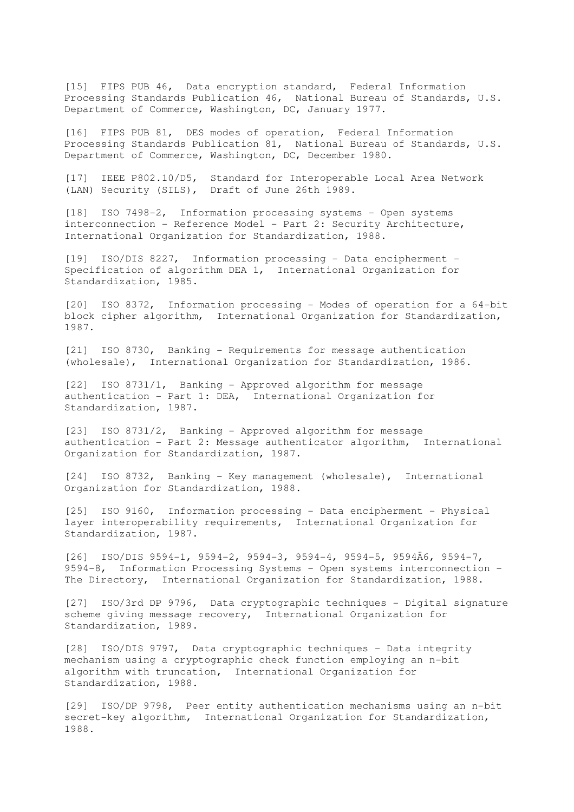[15] FIPS PUB 46, Data encryption standard, Federal Information Processing Standards Publication 46, National Bureau of Standards, U.S. Department of Commerce, Washington, DC, January 1977.

[16] FIPS PUB 81, DES modes of operation, Federal Information Processing Standards Publication 81, National Bureau of Standards, U.S. Department of Commerce, Washington, DC, December 1980.

[17] IEEE P802.10/D5, Standard for Interoperable Local Area Network (LAN) Security (SILS), Draft of June 26th 1989.

[18] ISO 7498-2, Information processing systems - Open systems interconnection - Reference Model - Part 2: Security Architecture, International Organization for Standardization, 1988.

[19] ISO/DIS 8227, Information processing - Data encipherment - Specification of algorithm DEA 1, International Organization for Standardization, 1985.

[20] ISO 8372, Information processing - Modes of operation for a 64-bit block cipher algorithm, International Organization for Standardization, 1987.

[21] ISO 8730, Banking - Requirements for message authentication (wholesale), International Organization for Standardization, 1986.

[22] ISO 8731/1, Banking - Approved algorithm for message authentication - Part 1: DEA, International Organization for Standardization, 1987.

[23] ISO 8731/2, Banking - Approved algorithm for message authentication - Part 2: Message authenticator algorithm, International Organization for Standardization, 1987.

[24] ISO 8732, Banking - Key management (wholesale), International Organization for Standardization, 1988.

[25] ISO 9160, Information processing - Data encipherment - Physical layer interoperability requirements, International Organization for Standardization, 1987.

 $[26]$  ISO/DIS 9594-1, 9594-2, 9594-3, 9594-4, 9594-5, 9594Ä6, 9594-7, 9594-8, Information Processing Systems - Open systems interconnection - The Directory, International Organization for Standardization, 1988.

[27] ISO/3rd DP 9796, Data cryptographic techniques - Digital signature scheme giving message recovery, International Organization for Standardization, 1989.

[28] ISO/DIS 9797, Data cryptographic techniques - Data integrity mechanism using a cryptographic check function employing an n-bit algorithm with truncation, International Organization for Standardization, 1988.

[29] ISO/DP 9798, Peer entity authentication mechanisms using an n-bit secret-key algorithm, International Organization for Standardization, 1988.